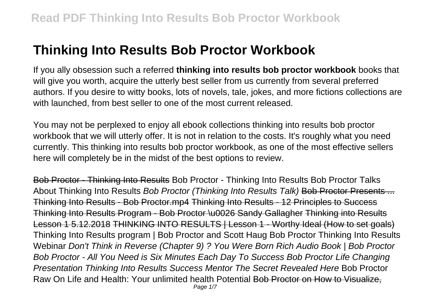# **Thinking Into Results Bob Proctor Workbook**

If you ally obsession such a referred **thinking into results bob proctor workbook** books that will give you worth, acquire the utterly best seller from us currently from several preferred authors. If you desire to witty books, lots of novels, tale, jokes, and more fictions collections are with launched, from best seller to one of the most current released.

You may not be perplexed to enjoy all ebook collections thinking into results bob proctor workbook that we will utterly offer. It is not in relation to the costs. It's roughly what you need currently. This thinking into results bob proctor workbook, as one of the most effective sellers here will completely be in the midst of the best options to review.

Bob Proctor - Thinking Into Results Bob Proctor - Thinking Into Results Bob Proctor Talks About Thinking Into Results Bob Proctor (Thinking Into Results Talk) Bob Proctor Presents ... Thinking Into Results - Bob Proctor.mp4 Thinking Into Results - 12 Principles to Success Thinking Into Results Program - Bob Proctor \u0026 Sandy Gallagher Thinking into Results Lesson 1 5.12.2018 THINKING INTO RESULTS | Lesson 1 - Worthy Ideal (How to set goals) Thinking Into Results program | Bob Proctor and Scott Haug Bob Proctor Thinking Into Results Webinar Don't Think in Reverse (Chapter 9) ? You Were Born Rich Audio Book | Bob Proctor Bob Proctor - All You Need is Six Minutes Each Day To Success Bob Proctor Life Changing Presentation Thinking Into Results Success Mentor The Secret Revealed Here Bob Proctor Raw On Life and Health: Your unlimited health Potential Bob Proctor on How to Visualize,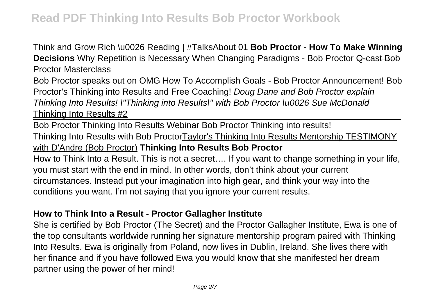Think and Grow Rich \u0026 Reading | #TalksAbout 01 **Bob Proctor - How To Make Winning Decisions** Why Repetition is Necessary When Changing Paradigms - Bob Proctor Q-cast Bob Proctor Masterclass

Bob Proctor speaks out on OMG How To Accomplish Goals - Bob Proctor Announcement! Bob Proctor's Thinking into Results and Free Coaching! Doug Dane and Bob Proctor explain Thinking Into Results! \"Thinking into Results\" with Bob Proctor \u0026 Sue McDonald Thinking Into Results #2

Bob Proctor Thinking Into Results Webinar Bob Proctor Thinking into results!

Thinking Into Results with Bob ProctorTaylor's Thinking Into Results Mentorship TESTIMONY with D'Andre (Bob Proctor) **Thinking Into Results Bob Proctor**

How to Think Into a Result. This is not a secret…. If you want to change something in your life, you must start with the end in mind. In other words, don't think about your current circumstances. Instead put your imagination into high gear, and think your way into the conditions you want. I'm not saying that you ignore your current results.

#### **How to Think Into a Result - Proctor Gallagher Institute**

She is certified by Bob Proctor (The Secret) and the Proctor Gallagher Institute, Ewa is one of the top consultants worldwide running her signature mentorship program paired with Thinking Into Results. Ewa is originally from Poland, now lives in Dublin, Ireland. She lives there with her finance and if you have followed Ewa you would know that she manifested her dream partner using the power of her mind!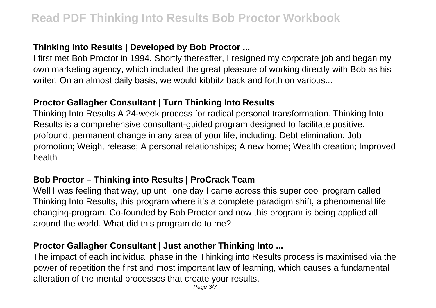# **Thinking Into Results | Developed by Bob Proctor ...**

I first met Bob Proctor in 1994. Shortly thereafter, I resigned my corporate job and began my own marketing agency, which included the great pleasure of working directly with Bob as his writer. On an almost daily basis, we would kibbitz back and forth on various...

# **Proctor Gallagher Consultant | Turn Thinking Into Results**

Thinking Into Results A 24-week process for radical personal transformation. Thinking Into Results is a comprehensive consultant-guided program designed to facilitate positive, profound, permanent change in any area of your life, including: Debt elimination; Job promotion; Weight release; A personal relationships; A new home; Wealth creation; Improved health

# **Bob Proctor – Thinking into Results | ProCrack Team**

Well I was feeling that way, up until one day I came across this super cool program called Thinking Into Results, this program where it's a complete paradigm shift, a phenomenal life changing-program. Co-founded by Bob Proctor and now this program is being applied all around the world. What did this program do to me?

# **Proctor Gallagher Consultant | Just another Thinking Into ...**

The impact of each individual phase in the Thinking into Results process is maximised via the power of repetition the first and most important law of learning, which causes a fundamental alteration of the mental processes that create your results.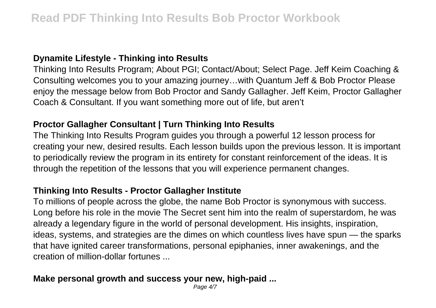#### **Dynamite Lifestyle - Thinking into Results**

Thinking Into Results Program; About PGI; Contact/About; Select Page. Jeff Keim Coaching & Consulting welcomes you to your amazing journey…with Quantum Jeff & Bob Proctor Please enjoy the message below from Bob Proctor and Sandy Gallagher. Jeff Keim, Proctor Gallagher Coach & Consultant. If you want something more out of life, but aren't

# **Proctor Gallagher Consultant | Turn Thinking Into Results**

The Thinking Into Results Program guides you through a powerful 12 lesson process for creating your new, desired results. Each lesson builds upon the previous lesson. It is important to periodically review the program in its entirety for constant reinforcement of the ideas. It is through the repetition of the lessons that you will experience permanent changes.

#### **Thinking Into Results - Proctor Gallagher Institute**

To millions of people across the globe, the name Bob Proctor is synonymous with success. Long before his role in the movie The Secret sent him into the realm of superstardom, he was already a legendary figure in the world of personal development. His insights, inspiration, ideas, systems, and strategies are the dimes on which countless lives have spun — the sparks that have ignited career transformations, personal epiphanies, inner awakenings, and the creation of million-dollar fortunes ...

#### **Make personal growth and success your new, high-paid ...**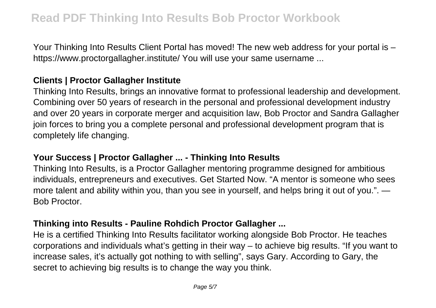Your Thinking Into Results Client Portal has moved! The new web address for your portal is – https://www.proctorgallagher.institute/ You will use your same username ...

#### **Clients | Proctor Gallagher Institute**

Thinking Into Results, brings an innovative format to professional leadership and development. Combining over 50 years of research in the personal and professional development industry and over 20 years in corporate merger and acquisition law, Bob Proctor and Sandra Gallagher join forces to bring you a complete personal and professional development program that is completely life changing.

#### **Your Success | Proctor Gallagher ... - Thinking Into Results**

Thinking Into Results, is a Proctor Gallagher mentoring programme designed for ambitious individuals, entrepreneurs and executives. Get Started Now. "A mentor is someone who sees more talent and ability within you, than you see in yourself, and helps bring it out of you.". — Bob Proctor.

#### **Thinking into Results - Pauline Rohdich Proctor Gallagher ...**

He is a certified Thinking Into Results facilitator working alongside Bob Proctor. He teaches corporations and individuals what's getting in their way – to achieve big results. "If you want to increase sales, it's actually got nothing to with selling", says Gary. According to Gary, the secret to achieving big results is to change the way you think.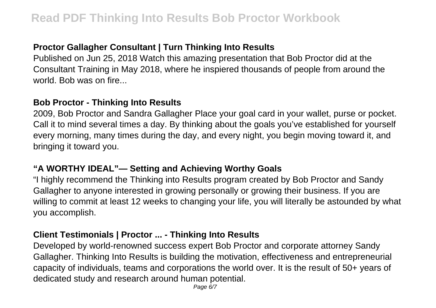# **Proctor Gallagher Consultant | Turn Thinking Into Results**

Published on Jun 25, 2018 Watch this amazing presentation that Bob Proctor did at the Consultant Training in May 2018, where he inspiered thousands of people from around the world. Bob was on fire...

# **Bob Proctor - Thinking Into Results**

2009, Bob Proctor and Sandra Gallagher Place your goal card in your wallet, purse or pocket. Call it to mind several times a day. By thinking about the goals you've established for yourself every morning, many times during the day, and every night, you begin moving toward it, and bringing it toward you.

# **"A WORTHY IDEAL"— Setting and Achieving Worthy Goals**

"I highly recommend the Thinking into Results program created by Bob Proctor and Sandy Gallagher to anyone interested in growing personally or growing their business. If you are willing to commit at least 12 weeks to changing your life, you will literally be astounded by what you accomplish.

#### **Client Testimonials | Proctor ... - Thinking Into Results**

Developed by world-renowned success expert Bob Proctor and corporate attorney Sandy Gallagher. Thinking Into Results is building the motivation, effectiveness and entrepreneurial capacity of individuals, teams and corporations the world over. It is the result of 50+ years of dedicated study and research around human potential.